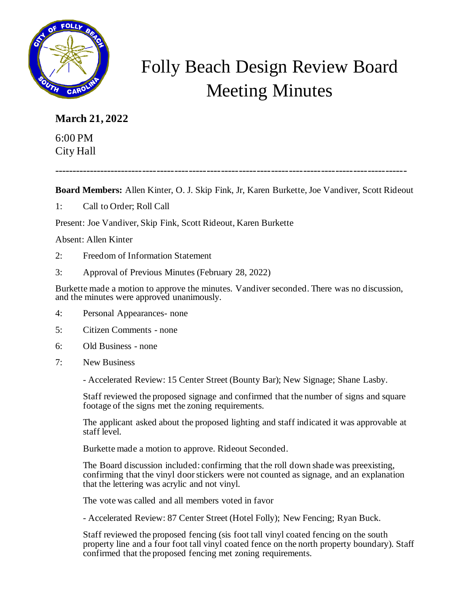

## Folly Beach Design Review Board Meeting Minutes

## **March 21, 2022**

6:00 PM City Hall

---------------------------------------------------------------------------------------------------

**Board Members:** Allen Kinter, O. J. Skip Fink, Jr, Karen Burkette, Joe Vandiver, Scott Rideout

1: Call to Order; Roll Call

Present: Joe Vandiver, Skip Fink, Scott Rideout, Karen Burkette

## Absent: Allen Kinter

- 2: Freedom of Information Statement
- 3: Approval of Previous Minutes (February 28, 2022)

Burkette made a motion to approve the minutes. Vandiver seconded. There was no discussion, and the minutes were approved unanimously.

- 4: Personal Appearances- none
- 5: Citizen Comments none
- 6: Old Business none
- 7: New Business

- Accelerated Review: 15 Center Street (Bounty Bar); New Signage; Shane Lasby.

Staff reviewed the proposed signage and confirmed that the number of signs and square footage of the signs met the zoning requirements.

The applicant asked about the proposed lighting and staff indicated it was approvable at staff level.

Burkette made a motion to approve. Rideout Seconded.

The Board discussion included: confirming that the roll down shade was preexisting, confirming that the vinyl door stickers were not counted as signage, and an explanation that the lettering was acrylic and not vinyl.

The vote was called and all members voted in favor

- Accelerated Review: 87 Center Street (Hotel Folly); New Fencing; Ryan Buck.

Staff reviewed the proposed fencing (sis foot tall vinyl coated fencing on the south property line and a four foot tall vinyl coated fence on the north property boundary). Staff confirmed that the proposed fencing met zoning requirements.